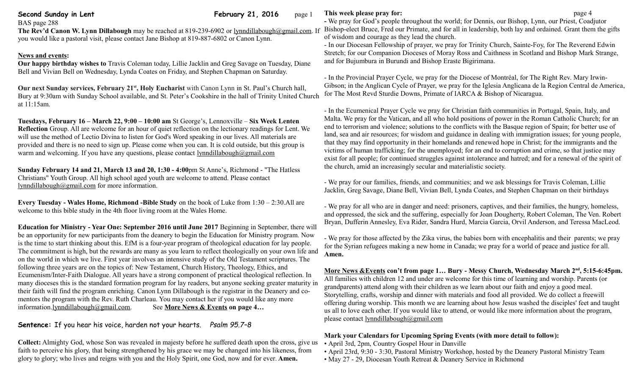**Second Sunday in Lent February 21, 2016** page 1

**The Rev'd Canon W. Lynn Dillabough** may be reached at 819-239-6902 or [lynndillabough@gmail.com.](mailto:lynndillabough@gmail.com) If you would like a pastoral visit, please contact Jane Bishop at 819-887-6802 or Canon Lynn.

### **News and events:**

BAS page 288

**Our happy birthday wishes to** Travis Coleman today, Lillie Jacklin and Greg Savage on Tuesday, Diane Bell and Vivian Bell on Wednesday, Lynda Coates on Friday, and Stephen Chapman on Saturday.

**Our next Sunday services, February 21st, Holy Eucharist** with Canon Lynn in St. Paul's Church hall, Bury at 9:30am with Sunday School available, and St. Peter's Cookshire in the hall of Trinity United Church at 11:15am.

**Tuesdays, February 16 – March 22, 9:00 – 10:00 am** St George's, Lennoxville – **Six Week Lenten Reflection** Group. All are welcome for an hour of quiet reflection on the lectionary readings for Lent. We will use the method of Lectio Divina to listen for God's Word speaking in our lives. All materials are provided and there is no need to sign up. Please come when you can. It is cold outside, but this group is warm and welcoming. If you have any questions, please contact [lynndillabough@gmail.com](mailto:lynndillabough@gmail.com)

**Sunday February 14 and 21, March 13 and 20, 1:30 - 4:00**pm St Anne's, Richmond - "The Hatless Christians" Youth Group. All high school aged youth are welcome to attend. Please contact [lynndillabough@gmail.com](mailto:lynndillabough@gmail.com) for more information.

**Every Tuesday - Wales Home, Richmond -Bible Study** on the book of Luke from 1:30 – 2:30.All are welcome to this bible study in the 4th floor living room at the Wales Home.

**Education for Ministry - Year One: September 2016 until June 2017** Beginning in September, there will be an opportunity for new participants from the deanery to begin the Education for Ministry program. Now is the time to start thinking about this. EfM is a four-year program of theological education for lay people. The commitment is high, but the rewards are many as you learn to reflect theologically on your own life and on the world in which we live. First year involves an intensive study of the Old Testament scriptures. The following three years are on the topics of: New Testament, Church History, Theology, Ethics, and Ecumenism/Inter-Faith Dialogue. All years have a strong component of practical theological reflection. In many dioceses this is the standard formation program for lay readers, but anyone seeking greater maturity in their faith will find the program enriching. Canon Lynn Dillabough is the registrar in the Deanery and comentors the program with the Rev. Ruth Charleau. You may contact her if you would like any more information[.lynndillabough@gmail.com.](mailto:lynndillabough@gmail.com) See **More News & Events on page 4…**

# **Sentence:** If you hear his voice, harden not your hearts. *Psalm 95.7–8*

**Collect:** Almighty God, whose Son was revealed in majesty before he suffered death upon the cross, give us faith to perceive his glory, that being strengthened by his grace we may be changed into his likeness, from glory to glory; who lives and reigns with you and the Holy Spirit, one God, now and for ever. **Amen.**

### **This week please pray for: page 4**

**-** We pray for God's people throughout the world; for Dennis, our Bishop, Lynn, our Priest, Coadjutor Bishop-elect Bruce, Fred our Primate, and for all in leadership, both lay and ordained. Grant them the gifts of wisdom and courage as they lead the church.

- In our Diocesan Fellowship of prayer, we pray for Trinity Church, Sainte-Foy, for The Reverend Edwin Stretch; for our Companion Dioceses of Moray Ross and Caithness in Scotland and Bishop Mark Strange, and for Bujumbura in Burundi and Bishop Eraste Bigirimana.

- In the Provincial Prayer Cycle, we pray for the Diocese of Montréal, for The Right Rev. Mary Irwin-Gibson; in the Anglican Cycle of Prayer, we pray for the Iglesia Anglicana de la Region Central de America, for The Most Revd Sturdie Downs, Primate of IARCA & Bishop of Nicaragua.

- In the Ecumenical Prayer Cycle we pray for Christian faith communities in Portugal, Spain, Italy, and Malta. We pray for the Vatican, and all who hold positions of power in the Roman Catholic Church; for an end to terrorism and violence; solutions to the conflicts with the Basque region of Spain; for better use of land, sea and air resources; for wisdom and guidance in dealing with immigration issues; for young people, that they may find opportunity in their homelands and renewed hope in Christ; for the immigrants and the victims of human trafficking; for the unemployed; for an end to corruption and crime, so that justice may exist for all people; for continued struggles against intolerance and hatred; and for a renewal of the spirit of the church, amid an increasingly secular and materialistic society.

- We pray for our families, friends, and communities; and we ask blessings for Travis Coleman, Lillie Jacklin, Greg Savage, Diane Bell, Vivian Bell, Lynda Coates, and Stephen Chapman on their birthdays

- We pray for all who are in danger and need: prisoners, captives, and their families, the hungry, homeless, and oppressed, the sick and the suffering, especially for Joan Dougherty, Robert Coleman, The Ven. Robert Bryan, Dufferin Annesley, Eva Rider, Sandra Hurd, Marcia Garcia, Orvil Anderson, and Teressa MacLeod.

- We pray for those affected by the Zika virus, the babies born with encephalitis and their parents; we pray for the Syrian refugees making a new home in Canada; we pray for a world of peace and justice for all. **Amen.**

 **More News &Events con't from page 1… Bury - Messy Church, Wednesday March 2nd , 5:15-6:45pm.**  All families with children 12 and under are welcome for this time of learning and worship. Parents (or grandparents) attend along with their children as we learn about our faith and enjoy a good meal. Storytelling, crafts, worship and dinner with materials and food all provided. We do collect a freewill offering during worship. This month we are learning about how Jesus washed the disciples' feet and taught us all to love each other. If you would like to attend, or would like more information about the program, please contact [lynndillabough@gmail.com](mailto:lynndillabough@gmail.com)

## **Mark your Calendars for Upcoming Spring Events (with more detail to follow):**

- April 3rd, 2pm, Country Gospel Hour in Danville
- April 23rd, 9:30 3:30, Pastoral Ministry Workshop, hosted by the Deanery Pastoral Ministry Team
- May 27 29, Diocesan Youth Retreat & Deanery Service in Richmond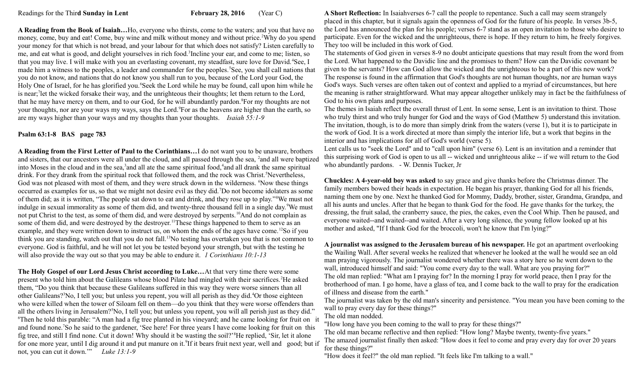**A Reading from the Book of Isaiah…**Ho, everyone who thirsts, come to the waters; and you that have no money, come, buy and eat! Come, buy wine and milk without money and without price.<sup>2</sup>Why do you spend your money for that which is not bread, and your labour for that which does not satisfy? Listen carefully to me, and eat what is good, and delight yourselves in rich food.<sup>3</sup>Incline your ear, and come to me; listen, so that you may live. I will make with you an everlasting covenant, my steadfast, sure love for David.<sup>4</sup>See, I made him a witness to the peoples, a leader and commander for the peoples.<sup>5</sup>See, you shall call nations that you do not know, and nations that do not know you shall run to you, because of the Lord your God, the Holy One of Israel, for he has glorified you.<sup>6</sup>Seek the Lord while he may be found, call upon him while he is near;<sup>7</sup>let the wicked forsake their way, and the unrighteous their thoughts; let them return to the Lord, that he may have mercy on them, and to our God, for he will abundantly pardon.<sup>8</sup>For my thoughts are not your thoughts, nor are your ways my ways, says the Lord.<sup>9</sup>For as the heavens are higher than the earth, so are my ways higher than your ways and my thoughts than your thoughts. *Isaiah 55:1-9*

### **Psalm 63:1-8 BAS page 783**

**A Reading from the First Letter of Paul to the Corinthians…**I do not want you to be unaware, brothers and sisters, that our ancestors were all under the cloud, and all passed through the sea, <sup>2</sup>and all were baptized into Moses in the cloud and in the sea,<sup>3</sup> and all ate the same spiritual food,<sup>4</sup> and all drank the same spiritual drink. For they drank from the spiritual rock that followed them, and the rock was Christ.<sup>5</sup>Nevertheless, God was not pleased with most of them, and they were struck down in the wilderness. <sup>6</sup>Now these things occurred as examples for us, so that we might not desire evil as they did.<sup>7</sup>Do not become idolaters as some of them did; as it is written, "The people sat down to eat and drink, and they rose up to play."<sup>8</sup>We must not indulge in sexual immorality as some of them did, and twenty-three thousand fell in a single day.<sup>9</sup>We must not put Christ to the test, as some of them did, and were destroyed by serpents.<sup>10</sup>And do not complain as some of them did, and were destroyed by the destroyer.<sup>11</sup>These things happened to them to serve as an example, and they were written down to instruct us, on whom the ends of the ages have come.<sup>12</sup>So if you think you are standing, watch out that you do not fall.<sup>13</sup>No testing has overtaken you that is not common to everyone. God is faithful, and he will not let you be tested beyond your strength, but with the testing he will also provide the way out so that you may be able to endure it. *1 Corinthians 10:1-13* 

**The Holy Gospel of our Lord Jesus Christ according to Luke…**At that very time there were some present who told him about the Galileans whose blood Pilate had mingled with their sacrifices.<sup>2</sup>He asked them, "Do you think that because these Galileans suffered in this way they were worse sinners than all other Galileans?<sup>3</sup>No, I tell you; but unless you repent, you will all perish as they did.<sup>4</sup>Or those eighteen who were killed when the tower of Siloam fell on them—do you think that they were worse offenders than all the others living in Jerusalem?<sup>5</sup>No, I tell you; but unless you repent, you will all perish just as they did." <sup>6</sup>Then he told this parable: "A man had a fig tree planted in his vineyard; and he came looking for fruit on it and found none.<sup>7</sup>So he said to the gardener, 'See here! For three years I have come looking for fruit on this fig tree, and still I find none. Cut it down! Why should it be wasting the soil?'<sup>8</sup>He replied, 'Sir, let it alone for one more year, until I dig around it and put manure on it.<sup>9</sup>If it bears fruit next year, well and good; but if not, you can cut it down.'" *Luke 13:1-9*

**A Short Reflection:** In Isaiahverses 6-7 call the people to repentance. Such a call may seem strangely placed in this chapter, but it signals again the openness of God for the future of his people. In verses 3b-5, the Lord has announced the plan for his people; verses 6-7 stand as an open invitation to those who desire to participate. Even for the wicked and the unrighteous, there is hope. If they return to him, he freely forgives. They too will be included in this work of God.

The statements of God given in verses 8-9 no doubt anticipate questions that may result from the word from the Lord. What happened to the Davidic line and the promises to them? How can the Davidic covenant be given to the servants? How can God allow the wicked and the unrighteous to be a part of this new work? The response is found in the affirmation that God's thoughts are not human thoughts, nor are human ways God's ways. Such verses are often taken out of context and applied to a myriad of circumstances, but here the meaning is rather straightforward. What may appear altogether unlikely may in fact be the faithfulness of God to his own plans and purposes.

The themes in Isaiah reflect the overall thrust of Lent. In some sense, Lent is an invitation to thirst. Those who truly thirst and who truly hunger for God and the ways of God (Matthew 5) understand this invitation. The invitation, though, is to do more than simply drink from the waters (verse 1), but it is to participate in the work of God. It is a work directed at more than simply the interior life, but a work that begins in the interior and has implications for all of God's world (verse 5).

Lent calls us to "seek the Lord" and to "call upon him" (verse 6). Lent is an invitation and a reminder that this surprising work of God is open to us all -- wicked and unrighteous alike -- if we will return to the God who abundantly pardons. - [W. Dennis Tucker, Jr](http://www.workingpreacher.org/profile/default.aspx?uid=2-tucker_dennis) 

**Chuckles: A 4-year-old boy was asked** to say grace and give thanks before the Christmas dinner. The family members bowed their heads in expectation. He began his prayer, thanking God for all his friends, naming them one by one. Next he thanked God for Mommy, Daddy, brother, sister, Grandma, Grandpa, and all his aunts and uncles. After that he began to thank God for the food. He gave thanks for the turkey, the dressing, the fruit salad, the cranberry sauce, the pies, the cakes, even the Cool Whip. Then he paused, and everyone waited--and waited--and waited. After a very long silence, the young fellow looked up at his mother and asked, "If I thank God for the broccoli, won't he know that I'm lying?"

**A journalist was assigned to the Jerusalem bureau of his newspaper.** He got an apartment overlooking the Wailing Wall. After several weeks he realized that whenever he looked at the wall he would see an old man praying vigorously. The journalist wondered whether there was a story here so he went down to the wall, introduced himself and said: "You come every day to the wall. What are you praying for?" The old man replied: "What am I praying for? In the morning I pray for world peace, then I pray for the brotherhood of man. I go home, have a glass of tea, and I come back to the wall to pray for the eradication of illness and disease from the earth."

The journalist was taken by the old man's sincerity and persistence. "You mean you have been coming to the wall to pray every day for these things?"

The old man nodded.

"How long have you been coming to the wall to pray for these things?"

The old man became reflective and then replied: "How long? Maybe twenty, twenty-five years."

The amazed journalist finally then asked: "How does it feel to come and pray every day for over 20 years for these things?"

"How does it feel?" the old man replied. "It feels like I'm talking to a wall."